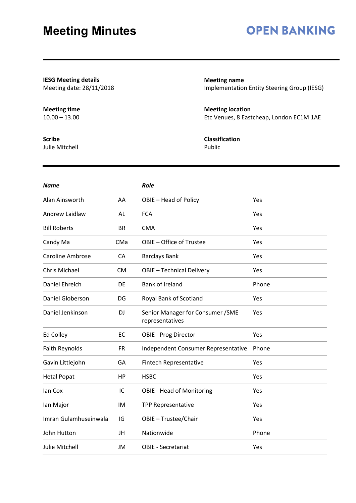### **OPEN BANKING**

#### **IESG Meeting details** Meeting date: 28/11/2018

#### **Meeting time**

 $10.00 - 13.00$ 

**Scribe** Julie Mitchell **Meeting name** Implementation Entity Steering Group (IESG)

**Meeting location** Etc Venues, 8 Eastcheap, London EC1M 1AE

**Classification** Public

| Name                    |           | <b>Role</b>                                          |       |
|-------------------------|-----------|------------------------------------------------------|-------|
| Alan Ainsworth          | AA        | OBIE - Head of Policy                                | Yes   |
| Andrew Laidlaw          | AL        | <b>FCA</b>                                           | Yes   |
| <b>Bill Roberts</b>     | <b>BR</b> | <b>CMA</b>                                           | Yes   |
| Candy Ma                | CMa       | OBIE - Office of Trustee                             | Yes   |
| <b>Caroline Ambrose</b> | <b>CA</b> | <b>Barclays Bank</b>                                 | Yes   |
| Chris Michael           | <b>CM</b> | <b>OBIE - Technical Delivery</b>                     | Yes   |
| Daniel Ehreich          | DE        | <b>Bank of Ireland</b>                               | Phone |
| Daniel Globerson        | DG        | Royal Bank of Scotland                               | Yes   |
| Daniel Jenkinson        | <b>DJ</b> | Senior Manager for Consumer / SME<br>representatives | Yes   |
| Ed Colley               | EC        | <b>OBIE - Prog Director</b>                          | Yes   |
| Faith Reynolds          | <b>FR</b> | Independent Consumer Representative                  | Phone |
| Gavin Littlejohn        | GA        | <b>Fintech Representative</b>                        | Yes   |
| <b>Hetal Popat</b>      | HP        | <b>HSBC</b>                                          | Yes   |
| lan Cox                 | IC        | <b>OBIE - Head of Monitoring</b>                     | Yes   |
| lan Major               | IM        | <b>TPP Representative</b>                            | Yes   |
| Imran Gulamhuseinwala   | IG        | OBIE - Trustee/Chair                                 | Yes   |
| John Hutton             | JH        | Nationwide                                           | Phone |
| Julie Mitchell          | JM        | <b>OBIE - Secretariat</b>                            | Yes   |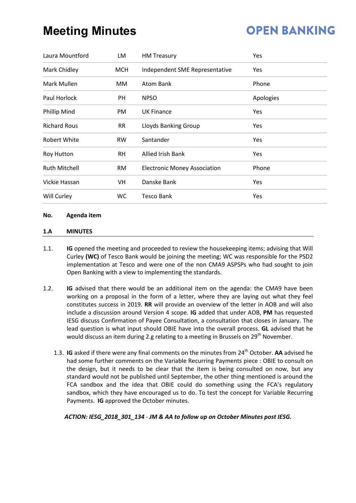# **OPEN BANKING**

| Laura Mountford      | LM         | <b>HM Treasury</b>                  | Yes        |
|----------------------|------------|-------------------------------------|------------|
| Mark Chidley         | <b>MCH</b> | Independent SME Representative      | Yes        |
| Mark Mullen          | MM.        | Atom Bank                           | Phone      |
| Paul Horlock         | <b>PH</b>  | <b>NPSO</b>                         | Apologies  |
| Phillip Mind         | PM         | <b>UK Finance</b>                   | Yes        |
| <b>Richard Rous</b>  | RR         | Lloyds Banking Group                | <b>Yes</b> |
| <b>Robert White</b>  | <b>RW</b>  | Santander                           | <b>Yes</b> |
| Roy Hutton           | <b>RH</b>  | <b>Allied Irish Bank</b>            | <b>Yes</b> |
| <b>Ruth Mitchell</b> | RM         | <b>Electronic Money Association</b> | Phone      |
| Vickie Hassan        | VH         | Danske Bank                         | Yes        |
| Will Curley          | <b>WC</b>  | <b>Tesco Bank</b>                   | Yes        |

#### **No. Agenda item**

#### **1.A MINUTES**

- 1.1. **IG** opened the meeting and proceeded to review the housekeeping items; advising that Will Curley **(WC)** of Tesco Bank would be joining the meeting; WC was responsible for the PSD2 implementation at Tesco and were one of the non CMA9 ASPSPs who had sought to join Open Banking with a view to implementing the standards.
- 1.2. **IG** advised that there would be an additional item on the agenda: the CMA9 have been working on a proposal in the form of a letter, where they are laying out what they feel constitutes success in 2019. **RR** will provide an overview of the letter in AOB and will also include a discussion around Version 4 scope. **IG** added that under AOB, **PM** has requested IESG discuss Confirmation of Payee Consultation, a consultation that closes in January. The lead question is what input should OBIE have into the overall process. **GL** advised that he would discuss an item during 2.g relating to a meeting in Brussels on 29<sup>th</sup> November.
	- 1.3. **IG** asked if there were any final comments on the minutes from 24th October. **AA** advised he had some further comments on the Variable Recurring Payments piece : OBIE to consult on the design, but it needs to be clear that the item is being consulted on now, but any standard would not be published until September, the other thing mentioned is around the FCA sandbox and the idea that OBIE could do something using the FCA's regulatory sandbox, which they have encouraged us to do. To test the concept for Variable Recurring Payments. **IG** approved the October minutes.

*ACTION: IESG\_2018\_301\_134 - JM & AA to follow up on October Minutes post IESG.*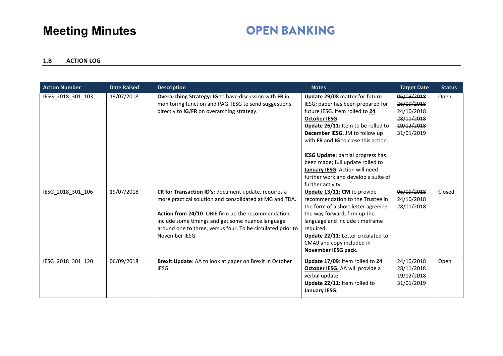### **OPEN BANKING**

#### **1.B ACTION LOG**

| <b>Action Number</b> | <b>Date Raised</b> | <b>Description</b>                                                                                                                                                                                                                                                                                           | <b>Notes</b>                                                                                                                                                                                                                                                                                                                                                                                                       | <b>Target Date</b>                                                               | <b>Status</b> |
|----------------------|--------------------|--------------------------------------------------------------------------------------------------------------------------------------------------------------------------------------------------------------------------------------------------------------------------------------------------------------|--------------------------------------------------------------------------------------------------------------------------------------------------------------------------------------------------------------------------------------------------------------------------------------------------------------------------------------------------------------------------------------------------------------------|----------------------------------------------------------------------------------|---------------|
| IESG_2018_301_103    | 19/07/2018         | Overarching Strategy: IG to have discussion with FR in<br>monitoring function and PAG. IESG to send suggestions<br>directly to IG/FR on overarching strategy.                                                                                                                                                | Update 29/08 matter for future<br>IESG; paper has been prepared for<br>future IESG. Item rolled to 24<br><b>October IESG</b><br>Update 26/11: Item to be rolled to<br>December IESG. JM to follow up<br>with FR and IG to close this action.<br>IESG Update: partial progress has<br>been made; full update rolled to<br>January IESG. Action will need<br>further work and develop a suite of<br>further activity | 06/09/2018<br>26/09/2018<br>24/10/2018<br>28/11/2018<br>19/12/2018<br>31/01/2019 | Open          |
| IESG 2018 301 106    | 19/07/2018         | CR for Transaction ID's: document update, requires a<br>more practical solution and consolidated at MG and TDA.<br>Action from 24/10: OBIE firm up the recommendation,<br>include some timings and get some nuance language<br>around one to three, versus four. To be circulated prior to<br>November IESG. | Update 13/11: CM to provide<br>recommendation to the Trustee in<br>the form of a short letter agreeing<br>the way forward; firm up the<br>language and include timeframe<br>required.<br>Update 22/11: Letter circulated to<br>CMA9 and copy included in<br>November IESG pack.                                                                                                                                    | 06/09/2018<br>24/10/2018<br>28/11/2018                                           | Closed        |
| IESG 2018 301 120    | 06/09/2018         | Brexit Update: AA to look at paper on Brexit in October<br>IESG.                                                                                                                                                                                                                                             | Update 17/09: Item rolled to 24<br>October IESG. AA will provide a<br>verbal update<br>Update 22/11: Item rolled to<br>January IESG.                                                                                                                                                                                                                                                                               | 24/10/2018<br>28/11/2018<br>19/12/2018<br>31/01/2019                             | Open          |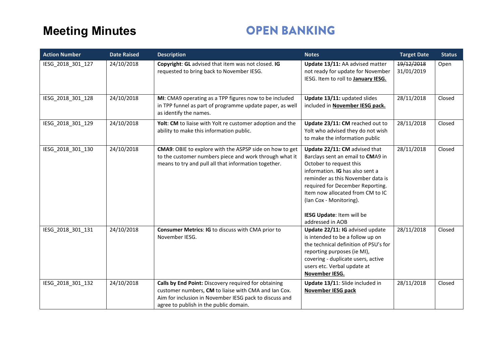### **OPEN BANKING**

| <b>Action Number</b> | <b>Date Raised</b> | <b>Description</b>                                                                                                                                                                                               | <b>Notes</b>                                                                                                                                                                                                                                                                                                              | <b>Target Date</b>       | <b>Status</b> |
|----------------------|--------------------|------------------------------------------------------------------------------------------------------------------------------------------------------------------------------------------------------------------|---------------------------------------------------------------------------------------------------------------------------------------------------------------------------------------------------------------------------------------------------------------------------------------------------------------------------|--------------------------|---------------|
| IESG_2018_301_127    | 24/10/2018         | Copyright: GL advised that item was not closed. IG<br>requested to bring back to November IESG.                                                                                                                  | Update 13/11: AA advised matter<br>not ready for update for November<br>IESG. Item to roll to January IESG.                                                                                                                                                                                                               | 19/12/2018<br>31/01/2019 | Open          |
| IESG_2018_301_128    | 24/10/2018         | MI: CMA9 operating as a TPP figures now to be included<br>in TPP funnel as part of programme update paper, as well<br>as identify the names.                                                                     | Update 13/11: updated slides<br>included in November IESG pack.                                                                                                                                                                                                                                                           | 28/11/2018               | Closed        |
| IESG_2018_301_129    | 24/10/2018         | Yolt: CM to liaise with Yolt re customer adoption and the<br>ability to make this information public.                                                                                                            | Update 23/11: CM reached out to<br>Yolt who advised they do not wish<br>to make the information public                                                                                                                                                                                                                    | 28/11/2018               | Closed        |
| IESG_2018_301_130    | 24/10/2018         | <b>CMA9</b> : OBIE to explore with the ASPSP side on how to get<br>to the customer numbers piece and work through what it<br>means to try and pull all that information together.                                | Update 22/11: CM advised that<br>Barclays sent an email to CMA9 in<br>October to request this<br>information. IG has also sent a<br>reminder as this November data is<br>required for December Reporting.<br>Item now allocated from CM to IC<br>(Ian Cox - Monitoring).<br>IESG Update: Item will be<br>addressed in AOB | 28/11/2018               | Closed        |
| IESG_2018_301_131    | 24/10/2018         | Consumer Metrics: IG to discuss with CMA prior to<br>November IESG.                                                                                                                                              | Update 22/11: IG advised update<br>is intended to be a follow up on<br>the technical definition of PSU's for<br>reporting purposes (ie MI),<br>covering - duplicate users, active<br>users etc. Verbal update at<br>November IESG.                                                                                        | 28/11/2018               | Closed        |
| IESG_2018_301_132    | 24/10/2018         | Calls by End Point: Discovery required for obtaining<br>customer numbers, CM to liaise with CMA and Ian Cox.<br>Aim for inclusion in November IESG pack to discuss and<br>agree to publish in the public domain. | Update 13/11: Slide included in<br><b>November IESG pack</b>                                                                                                                                                                                                                                                              | 28/11/2018               | Closed        |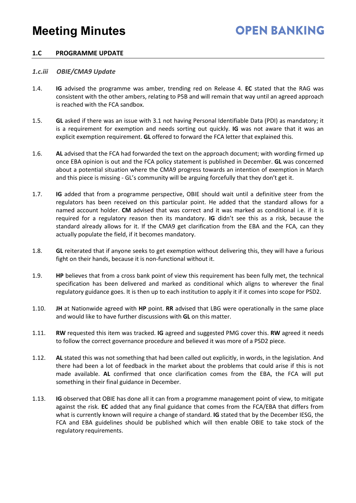#### **1.C PROGRAMME UPDATE**

#### *1.c.iii OBIE/CMA9 Update*

- 1.4. **IG** advised the programme was amber, trending red on Release 4. **EC** stated that the RAG was consistent with the other ambers, relating to P5B and will remain that way until an agreed approach is reached with the FCA sandbox.
- 1.5. **GL** asked if there was an issue with 3.1 not having Personal Identifiable Data (PDI) as mandatory; it is a requirement for exemption and needs sorting out quickly. **IG** was not aware that it was an explicit exemption requirement. **GL** offered to forward the FCA letter that explained this.
- 1.6. **AL** advised that the FCA had forwarded the text on the approach document; with wording firmed up once EBA opinion is out and the FCA policy statement is published in December. **GL** was concerned about a potential situation where the CMA9 progress towards an intention of exemption in March and this piece is missing - GL's community will be arguing forcefully that they don't get it.
- 1.7. **IG** added that from a programme perspective, OBIE should wait until a definitive steer from the regulators has been received on this particular point. He added that the standard allows for a named account holder. **CM** advised that was correct and it was marked as conditional i.e. if it is required for a regulatory reason then its mandatory. **IG** didn't see this as a risk, because the standard already allows for it. If the CMA9 get clarification from the EBA and the FCA, can they actually populate the field, if it becomes mandatory.
- 1.8. **GL** reiterated that if anyone seeks to get exemption without delivering this, they will have a furious fight on their hands, because it is non-functional without it.
- 1.9. **HP** believes that from a cross bank point of view this requirement has been fully met, the technical specification has been delivered and marked as conditional which aligns to wherever the final regulatory guidance goes. It is then up to each institution to apply it if it comes into scope for PSD2.
- 1.10. **JH** at Nationwide agreed with **HP** point. **RR** advised that LBG were operationally in the same place and would like to have further discussions with **GL** on this matter.
- 1.11. **RW** requested this item was tracked. **IG** agreed and suggested PMG cover this. **RW** agreed it needs to follow the correct governance procedure and believed it was more of a PSD2 piece.
- 1.12. **AL** stated this was not something that had been called out explicitly, in words, in the legislation. And there had been a lot of feedback in the market about the problems that could arise if this is not made available. **AL** confirmed that once clarification comes from the EBA, the FCA will put something in their final guidance in December.
- 1.13. **IG** observed that OBIE has done all it can from a programme management point of view, to mitigate against the risk. **EC** added that any final guidance that comes from the FCA/EBA that differs from what is currently known will require a change of standard. **IG** stated that by the December IESG, the FCA and EBA guidelines should be published which will then enable OBIE to take stock of the regulatory requirements.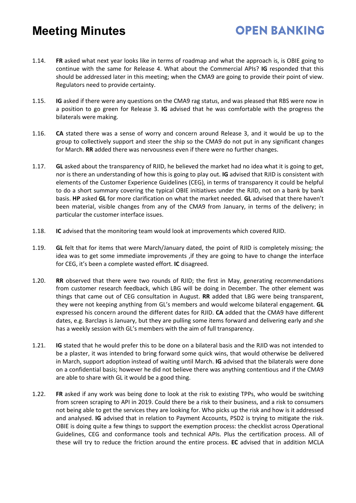### **OPEN BANKING**

- 1.14. **FR** asked what next year looks like in terms of roadmap and what the approach is, is OBIE going to continue with the same for Release 4. What about the Commercial APIs? **IG** responded that this should be addressed later in this meeting; when the CMA9 are going to provide their point of view. Regulators need to provide certainty.
- 1.15. **IG** asked if there were any questions on the CMA9 rag status, and was pleased that RBS were now in a position to go green for Release 3. **IG** advised that he was comfortable with the progress the bilaterals were making.
- 1.16. **CA** stated there was a sense of worry and concern around Release 3, and it would be up to the group to collectively support and steer the ship so the CMA9 do not put in any significant changes for March. **RR** added there was nervousness even if there were no further changes.
- 1.17. **GL** asked about the transparency of RJID, he believed the market had no idea what it is going to get, nor is there an understanding of how this is going to play out. **IG** advised that RJID is consistent with elements of the Customer Experience Guidelines (CEG), in terms of transparency it could be helpful to do a short summary covering the typical OBIE initiatives under the RJID, not on a bank by bank basis. **HP** asked **GL** for more clarification on what the market needed. **GL** advised that there haven't been material, visible changes from any of the CMA9 from January, in terms of the delivery; in particular the customer interface issues.
- 1.18. **IC** advised that the monitoring team would look at improvements which covered RJID.
- 1.19. **GL** felt that for items that were March/January dated, the point of RJID is completely missing; the idea was to get some immediate improvements , if they are going to have to change the interface for CEG, it's been a complete wasted effort. **IC** disagreed.
- 1.20. **RR** observed that there were two rounds of RJID; the first in May, generating recommendations from customer research feedback, which LBG will be doing in December. The other element was things that came out of CEG consultation in August. **RR** added that LBG were being transparent, they were not keeping anything from GL's members and would welcome bilateral engagement. **GL** expressed his concern around the different dates for RJID. **CA** added that the CMA9 have different dates, e.g. Barclays is January, but they are pulling some items forward and delivering early and she has a weekly session with GL's members with the aim of full transparency.
- 1.21. **IG** stated that he would prefer this to be done on a bilateral basis and the RJID was not intended to be a plaster, it was intended to bring forward some quick wins, that would otherwise be delivered in March, support adoption instead of waiting until March. **IG** advised that the bilaterals were done on a confidential basis; however he did not believe there was anything contentious and if the CMA9 are able to share with GL it would be a good thing.
- 1.22. **FR** asked if any work was being done to look at the risk to existing TPPs, who would be switching from screen scraping to API in 2019. Could there be a risk to their business, and a risk to consumers not being able to get the services they are looking for. Who picks up the risk and how is it addressed and analysed. **IG** advised that in relation to Payment Accounts, PSD2 is trying to mitigate the risk. OBIE is doing quite a few things to support the exemption process: the checklist across Operational Guidelines, CEG and conformance tools and technical APIs. Plus the certification process. All of these will try to reduce the friction around the entire process. **EC** advised that in addition MCLA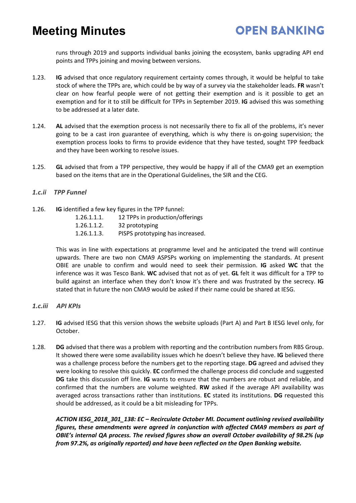runs through 2019 and supports individual banks joining the ecosystem, banks upgrading API end points and TPPs joining and moving between versions.

- 1.23. **IG** advised that once regulatory requirement certainty comes through, it would be helpful to take stock of where the TPPs are, which could be by way of a survey via the stakeholder leads. **FR** wasn't clear on how fearful people were of not getting their exemption and is it possible to get an exemption and for it to still be difficult for TPPs in September 2019. **IG** advised this was something to be addressed at a later date.
- 1.24. **AL** advised that the exemption process is not necessarily there to fix all of the problems, it's never going to be a cast iron guarantee of everything, which is why there is on-going supervision; the exemption process looks to firms to provide evidence that they have tested, sought TPP feedback and they have been working to resolve issues.
- 1.25. **GL** advised that from a TPP perspective, they would be happy if all of the CMA9 get an exemption based on the items that are in the Operational Guidelines, the SIR and the CEG.

#### *1.c.ii TPP Funnel*

- 1.26. **IG** identified a few key figures in the TPP funnel:
	- 1.26.1.1.1. 12 TPPs in production/offerings
	- 1.26.1.1.2. 32 prototyping
	- 1.26.1.1.3. PISPS prototyping has increased.

This was in line with expectations at programme level and he anticipated the trend will continue upwards. There are two non CMA9 ASPSPs working on implementing the standards. At present OBIE are unable to confirm and would need to seek their permission. **IG** asked **WC** that the inference was it was Tesco Bank. **WC** advised that not as of yet. **GL** felt it was difficult for a TPP to build against an interface when they don't know it's there and was frustrated by the secrecy. **IG** stated that in future the non CMA9 would be asked if their name could be shared at IESG.

#### *1.c.iii API KPIs*

- 1.27. **IG** advised IESG that this version shows the website uploads (Part A) and Part B IESG level only, for October.
- 1.28. **DG** advised that there was a problem with reporting and the contribution numbers from RBS Group. It showed there were some availability issues which he doesn't believe they have. **IG** believed there was a challenge process before the numbers get to the reporting stage. **DG** agreed and advised they were looking to resolve this quickly. **EC** confirmed the challenge process did conclude and suggested **DG** take this discussion off line. **IG** wants to ensure that the numbers are robust and reliable, and confirmed that the numbers are volume weighted. **RW** asked if the average API availability was averaged across transactions rather than institutions. **EC** stated its institutions. **DG** requested this should be addressed, as it could be a bit misleading for TPPs.

*ACTION IESG\_2018\_301\_138: EC – Recirculate October MI. Document outlining revised availability figures, these amendments were agreed in conjunction with affected CMA9 members as part of OBIE's internal QA process. The revised figures show an overall October availability of 98.2% (up from 97.2%, as originally reported) and have been reflected on the Open Banking website.*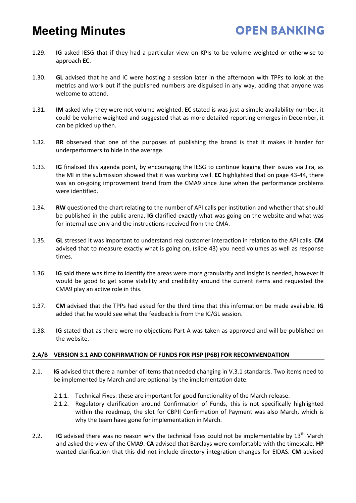- 1.29. **IG** asked IESG that if they had a particular view on KPIs to be volume weighted or otherwise to approach **EC**.
- 1.30. **GL** advised that he and IC were hosting a session later in the afternoon with TPPs to look at the metrics and work out if the published numbers are disguised in any way, adding that anyone was welcome to attend.
- 1.31. **IM** asked why they were not volume weighted. **EC** stated is was just a simple availability number, it could be volume weighted and suggested that as more detailed reporting emerges in December, it can be picked up then.
- 1.32. **RR** observed that one of the purposes of publishing the brand is that it makes it harder for underperformers to hide in the average.
- 1.33. **IG** finalised this agenda point, by encouraging the IESG to continue logging their issues via Jira, as the MI in the submission showed that it was working well. **EC** highlighted that on page 43-44, there was an on-going improvement trend from the CMA9 since June when the performance problems were identified.
- 1.34. **RW** questioned the chart relating to the number of API calls per institution and whether that should be published in the public arena. **IG** clarified exactly what was going on the website and what was for internal use only and the instructions received from the CMA.
- 1.35. **GL** stressed it was important to understand real customer interaction in relation to the API calls. **CM** advised that to measure exactly what is going on, (slide 43) you need volumes as well as response times.
- 1.36. **IG** said there was time to identify the areas were more granularity and insight is needed, however it would be good to get some stability and credibility around the current items and requested the CMA9 play an active role in this.
- 1.37. **CM** advised that the TPPs had asked for the third time that this information be made available. **IG** added that he would see what the feedback is from the IC/GL session.
- 1.38. **IG** stated that as there were no objections Part A was taken as approved and will be published on the website.

#### **2.A/B VERSION 3.1 AND CONFIRMATION OF FUNDS FOR PISP (P6B) FOR RECOMMENDATION**

- 2.1. **IG** advised that there a number of items that needed changing in V.3.1 standards. Two items need to be implemented by March and are optional by the implementation date.
	- 2.1.1. Technical Fixes: these are important for good functionality of the March release.
	- 2.1.2. Regulatory clarification around Confirmation of Funds, this is not specifically highlighted within the roadmap, the slot for CBPII Confirmation of Payment was also March, which is why the team have gone for implementation in March.
- 2.2. **IG** advised there was no reason why the technical fixes could not be implementable by 13<sup>th</sup> March and asked the view of the CMA9. **CA** advised that Barclays were comfortable with the timescale. **HP** wanted clarification that this did not include directory integration changes for EIDAS. **CM** advised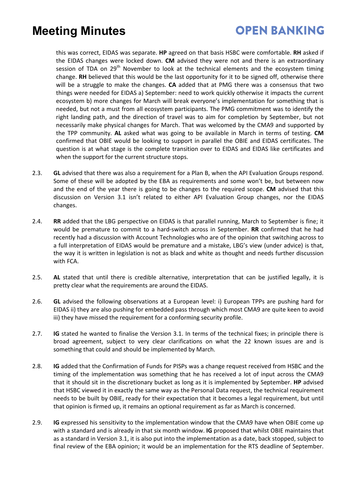### **OPEN BANKING**

this was correct, EIDAS was separate. **HP** agreed on that basis HSBC were comfortable. **RH** asked if the EIDAS changes were locked down. **CM** advised they were not and there is an extraordinary session of TDA on  $29<sup>th</sup>$  November to look at the technical elements and the ecosystem timing change. **RH** believed that this would be the last opportunity for it to be signed off, otherwise there will be a struggle to make the changes. **CA** added that at PMG there was a consensus that two things were needed for EIDAS a) September: need to work quickly otherwise it impacts the current ecosystem b) more changes for March will break everyone's implementation for something that is needed, but not a must from all ecosystem participants. The PMG commitment was to identify the right landing path, and the direction of travel was to aim for completion by September, but not necessarily make physical changes for March. That was welcomed by the CMA9 and supported by the TPP community. **AL** asked what was going to be available in March in terms of testing. **CM** confirmed that OBIE would be looking to support in parallel the OBIE and EIDAS certificates. The question is at what stage is the complete transition over to EIDAS and EIDAS like certificates and when the support for the current structure stops.

- 2.3. **GL** advised that there was also a requirement for a Plan B, when the API Evaluation Groups respond. Some of these will be adopted by the EBA as requirements and some won't be, but between now and the end of the year there is going to be changes to the required scope. **CM** advised that this discussion on Version 3.1 isn't related to either API Evaluation Group changes, nor the EIDAS changes.
- 2.4. **RR** added that the LBG perspective on EIDAS is that parallel running, March to September is fine; it would be premature to commit to a hard-switch across in September. **RR** confirmed that he had recently had a discussion with Account Technologies who are of the opinion that switching across to a full interpretation of EIDAS would be premature and a mistake, LBG's view (under advice) is that, the way it is written in legislation is not as black and white as thought and needs further discussion with FCA.
- 2.5. **AL** stated that until there is credible alternative, interpretation that can be justified legally, it is pretty clear what the requirements are around the EIDAS.
- 2.6. **GL** advised the following observations at a European level: i) European TPPs are pushing hard for EIDAS ii) they are also pushing for embedded pass through which most CMA9 are quite keen to avoid iii) they have missed the requirement for a conforming security profile.
- 2.7. **IG** stated he wanted to finalise the Version 3.1. In terms of the technical fixes; in principle there is broad agreement, subject to very clear clarifications on what the 22 known issues are and is something that could and should be implemented by March.
- 2.8. **IG** added that the Confirmation of Funds for PISPs was a change request received from HSBC and the timing of the implementation was something that he has received a lot of input across the CMA9 that it should sit in the discretionary bucket as long as it is implemented by September. **HP** advised that HSBC viewed it in exactly the same way as the Personal Data request, the technical requirement needs to be built by OBIE, ready for their expectation that it becomes a legal requirement, but until that opinion is firmed up, it remains an optional requirement as far as March is concerned.
- 2.9. **IG** expressed his sensitivity to the implementation window that the CMA9 have when OBIE come up with a standard and is already in that six month window. **IG** proposed that whilst OBIE maintains that as a standard in Version 3.1, it is also put into the implementation as a date, back stopped, subject to final review of the EBA opinion; it would be an implementation for the RTS deadline of September.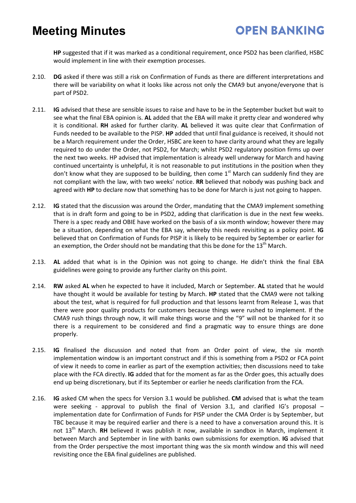**HP** suggested that if it was marked as a conditional requirement, once PSD2 has been clarified, HSBC would implement in line with their exemption processes.

- 2.10. **DG** asked if there was still a risk on Confirmation of Funds as there are different interpretations and there will be variability on what it looks like across not only the CMA9 but anyone/everyone that is part of PSD2.
- 2.11. **IG** advised that these are sensible issues to raise and have to be in the September bucket but wait to see what the final EBA opinion is. **AL** added that the EBA will make it pretty clear and wondered why it is conditional. **RH** asked for further clarity. **AL** believed it was quite clear that Confirmation of Funds needed to be available to the PISP. **HP** added that until final guidance is received, it should not be a March requirement under the Order, HSBC are keen to have clarity around what they are legally required to do under the Order, not PSD2, for March; whilst PSD2 regulatory position firms up over the next two weeks. HP advised that implementation is already well underway for March and having continued uncertainty is unhelpful, it is not reasonable to put institutions in the position when they don't know what they are supposed to be building, then come  $1<sup>st</sup>$  March can suddenly find they are not compliant with the law, with two weeks' notice. **RR** believed that nobody was pushing back and agreed with **HP** to declare now that something has to be done for March is just not going to happen.
- 2.12. **IG** stated that the discussion was around the Order, mandating that the CMA9 implement something that is in draft form and going to be in PSD2, adding that clarification is due in the next few weeks. There is a spec ready and OBIE have worked on the basis of a six month window; however there may be a situation, depending on what the EBA say, whereby this needs revisiting as a policy point. **IG** believed that on Confirmation of Funds for PISP it is likely to be required by September or earlier for an exemption, the Order should not be mandating that this be done for the 13<sup>th</sup> March.
- 2.13. **AL** added that what is in the Opinion was not going to change. He didn't think the final EBA guidelines were going to provide any further clarity on this point.
- 2.14. **RW** asked **AL** when he expected to have it included, March or September. **AL** stated that he would have thought it would be available for testing by March. **HP** stated that the CMA9 were not talking about the test, what is required for full production and that lessons learnt from Release 1, was that there were poor quality products for customers because things were rushed to implement. If the CMA9 rush things through now, it will make things worse and the "9" will not be thanked for it so there is a requirement to be considered and find a pragmatic way to ensure things are done properly.
- 2.15. **IG** finalised the discussion and noted that from an Order point of view, the six month implementation window is an important construct and if this is something from a PSD2 or FCA point of view it needs to come in earlier as part of the exemption activities; then discussions need to take place with the FCA directly. **IG** added that for the moment as far as the Order goes, this actually does end up being discretionary, but if its September or earlier he needs clarification from the FCA.
- 2.16. **IG** asked CM when the specs for Version 3.1 would be published. **CM** advised that is what the team were seeking - approval to publish the final of Version 3.1, and clarified IG's proposal – implementation date for Confirmation of Funds for PISP under the CMA Order is by September, but TBC because it may be required earlier and there is a need to have a conversation around this. It is not 13th March. **RH** believed it was publish it now, available in sandbox in March, implement it between March and September in line with banks own submissions for exemption. **IG** advised that from the Order perspective the most important thing was the six month window and this will need revisiting once the EBA final guidelines are published.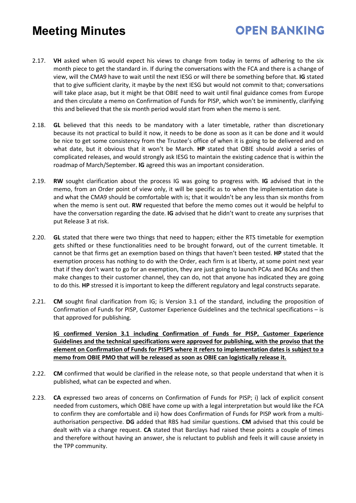### **OPEN BANKING**

- 2.17. **VH** asked when IG would expect his views to change from today in terms of adhering to the six month piece to get the standard in. If during the conversations with the FCA and there is a change of view, will the CMA9 have to wait until the next IESG or will there be something before that. **IG** stated that to give sufficient clarity, it maybe by the next IESG but would not commit to that; conversations will take place asap, but it might be that OBIE need to wait until final guidance comes from Europe and then circulate a memo on Confirmation of Funds for PISP, which won't be imminently, clarifying this and believed that the six month period would start from when the memo is sent.
- 2.18. **GL** believed that this needs to be mandatory with a later timetable, rather than discretionary because its not practical to build it now, it needs to be done as soon as it can be done and it would be nice to get some consistency from the Trustee's office of when it is going to be delivered and on what date, but it obvious that it won't be March. **HP** stated that OBIE should avoid a series of complicated releases, and would strongly ask IESG to maintain the existing cadence that is within the roadmap of March/September. **IG** agreed this was an important consideration.
- 2.19. **RW** sought clarification about the process IG was going to progress with. **IG** advised that in the memo, from an Order point of view only, it will be specific as to when the implementation date is and what the CMA9 should be comfortable with is; that it wouldn't be any less than six months from when the memo is sent out. **RW** requested that before the memo comes out it would be helpful to have the conversation regarding the date. **IG** advised that he didn't want to create any surprises that put Release 3 at risk.
- 2.20. **GL** stated that there were two things that need to happen; either the RTS timetable for exemption gets shifted or these functionalities need to be brought forward, out of the current timetable. It cannot be that firms get an exemption based on things that haven't been tested. **HP** stated that the exemption process has nothing to do with the Order, each firm is at liberty, at some point next year that if they don't want to go for an exemption, they are just going to launch PCAs and BCAs and then make changes to their customer channel, they can do, not that anyone has indicated they are going to do this. **HP** stressed it is important to keep the different regulatory and legal constructs separate.
- 2.21. **CM** sought final clarification from IG; is Version 3.1 of the standard, including the proposition of Confirmation of Funds for PISP, Customer Experience Guidelines and the technical specifications – is that approved for publishing.

**IG confirmed Version 3.1 including Confirmation of Funds for PISP, Customer Experience Guidelines and the technical specifications were approved for publishing, with the proviso that the element on Confirmation of Funds for PISPS where it refers to implementation dates is subject to a memo from OBIE PMO that will be released as soon as OBIE can logistically release it.** 

- 2.22. **CM** confirmed that would be clarified in the release note, so that people understand that when it is published, what can be expected and when.
- 2.23. **CA** expressed two areas of concerns on Confirmation of Funds for PISP; i) lack of explicit consent needed from customers, which OBIE have come up with a legal interpretation but would like the FCA to confirm they are comfortable and ii) how does Confirmation of Funds for PISP work from a multiauthorisation perspective. **DG** added that RBS had similar questions. **CM** advised that this could be dealt with via a change request. **CA** stated that Barclays had raised these points a couple of times and therefore without having an answer, she is reluctant to publish and feels it will cause anxiety in the TPP community.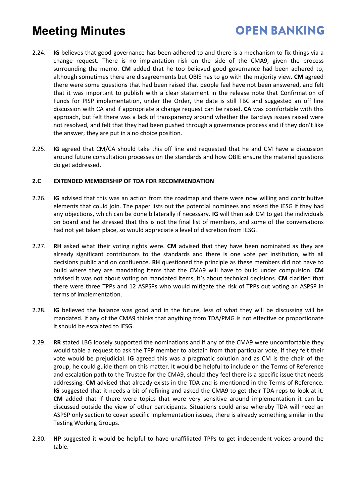### **OPEN BANKING**

- 2.24. **IG** believes that good governance has been adhered to and there is a mechanism to fix things via a change request. There is no implantation risk on the side of the CMA9, given the process surrounding the memo. **CM** added that he too believed good governance had been adhered to, although sometimes there are disagreements but OBIE has to go with the majority view. **CM** agreed there were some questions that had been raised that people feel have not been answered, and felt that it was important to publish with a clear statement in the release note that Confirmation of Funds for PISP implementation, under the Order, the date is still TBC and suggested an off line discussion with CA and if appropriate a change request can be raised. **CA** was comfortable with this approach, but felt there was a lack of transparency around whether the Barclays issues raised were not resolved, and felt that they had been pushed through a governance process and if they don't like the answer, they are put in a no choice position.
- 2.25. **IG** agreed that CM/CA should take this off line and requested that he and CM have a discussion around future consultation processes on the standards and how OBIE ensure the material questions do get addressed.

#### **2.C EXTENDED MEMBERSHIP OF TDA FOR RECOMMENDATION**

- 2.26. **IG** advised that this was an action from the roadmap and there were now willing and contributive elements that could join. The paper lists out the potential nominees and asked the IESG if they had any objections, which can be done bilaterally if necessary. **IG** will then ask CM to get the individuals on board and he stressed that this is not the final list of members, and some of the conversations had not yet taken place, so would appreciate a level of discretion from IESG.
- 2.27. **RH** asked what their voting rights were. **CM** advised that they have been nominated as they are already significant contributors to the standards and there is one vote per institution, with all decisions public and on confluence. **RH** questioned the principle as these members did not have to build where they are mandating items that the CMA9 will have to build under compulsion. **CM** advised it was not about voting on mandated items, it's about technical decisions. **CM** clarified that there were three TPPs and 12 ASPSPs who would mitigate the risk of TPPs out voting an ASPSP in terms of implementation.
- 2.28. **IG** believed the balance was good and in the future, less of what they will be discussing will be mandated. If any of the CMA9 thinks that anything from TDA/PMG is not effective or proportionate it should be escalated to IESG.
- 2.29. **RR** stated LBG loosely supported the nominations and if any of the CMA9 were uncomfortable they would table a request to ask the TPP member to abstain from that particular vote, if they felt their vote would be prejudicial. **IG** agreed this was a pragmatic solution and as CM is the chair of the group, he could guide them on this matter. It would be helpful to include on the Terms of Reference and escalation path to the Trustee for the CMA9, should they feel there is a specific issue that needs addressing. **CM** advised that already exists in the TDA and is mentioned in the Terms of Reference. **IG** suggested that it needs a bit of refining and asked the CMA9 to get their TDA reps to look at it. **CM** added that if there were topics that were very sensitive around implementation it can be discussed outside the view of other participants. Situations could arise whereby TDA will need an ASPSP only section to cover specific implementation issues, there is already something similar in the Testing Working Groups.
- 2.30. **HP** suggested it would be helpful to have unaffiliated TPPs to get independent voices around the table.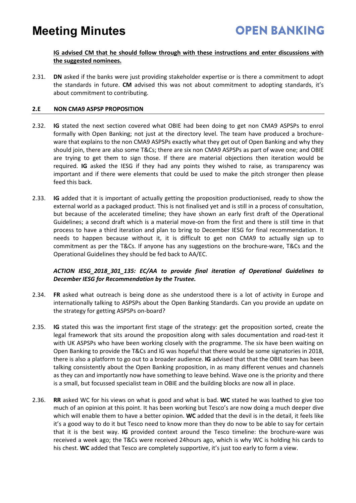#### **IG advised CM that he should follow through with these instructions and enter discussions with the suggested nominees.**

2.31. **DN** asked if the banks were just providing stakeholder expertise or is there a commitment to adopt the standards in future. **CM** advised this was not about commitment to adopting standards, it's about commitment to contributing.

#### **2.E NON CMA9 ASPSP PROPOSITION**

- 2.32. **IG** stated the next section covered what OBIE had been doing to get non CMA9 ASPSPs to enrol formally with Open Banking; not just at the directory level. The team have produced a brochureware that explains to the non CMA9 ASPSPs exactly what they get out of Open Banking and why they should join, there are also some T&Cs; there are six non CMA9 ASPSPs as part of wave one; and OBIE are trying to get them to sign those. If there are material objections then iteration would be required. **IG** asked the IESG if they had any points they wished to raise, as transparency was important and if there were elements that could be used to make the pitch stronger then please feed this back.
- 2.33. **IG** added that it is important of actually getting the proposition productionised, ready to show the external world as a packaged product. This is not finalised yet and is still in a process of consultation, but because of the accelerated timeline; they have shown an early first draft of the Operational Guidelines; a second draft which is a material move-on from the first and there is still time in that process to have a third iteration and plan to bring to December IESG for final recommendation. It needs to happen because without it, it is difficult to get non CMA9 to actually sign up to commitment as per the T&Cs. If anyone has any suggestions on the brochure-ware, T&Cs and the Operational Guidelines they should be fed back to AA/EC.

#### *ACTION IESG\_2018\_301\_135: EC/AA to provide final iteration of Operational Guidelines to December IESG for Recommendation by the Trustee.*

- 2.34. **FR** asked what outreach is being done as she understood there is a lot of activity in Europe and internationally talking to ASPSPs about the Open Banking Standards. Can you provide an update on the strategy for getting ASPSPs on-board?
- 2.35. **IG** stated this was the important first stage of the strategy: get the proposition sorted, create the legal framework that sits around the proposition along with sales documentation and road-test it with UK ASPSPs who have been working closely with the programme. The six have been waiting on Open Banking to provide the T&Cs and IG was hopeful that there would be some signatories in 2018, there is also a platform to go out to a broader audience. **IG** advised that that the OBIE team has been talking consistently about the Open Banking proposition, in as many different venues and channels as they can and importantly now have something to leave behind. Wave one is the priority and there is a small, but focussed specialist team in OBIE and the building blocks are now all in place.
- 2.36. **RR** asked WC for his views on what is good and what is bad. **WC** stated he was loathed to give too much of an opinion at this point. It has been working but Tesco's are now doing a much deeper dive which will enable them to have a better opinion. **WC** added that the devil is in the detail, it feels like it's a good way to do it but Tesco need to know more than they do now to be able to say for certain that it is the best way. **IG** provided context around the Tesco timeline: the brochure-ware was received a week ago; the T&Cs were received 24hours ago, which is why WC is holding his cards to his chest. **WC** added that Tesco are completely supportive, it's just too early to form a view.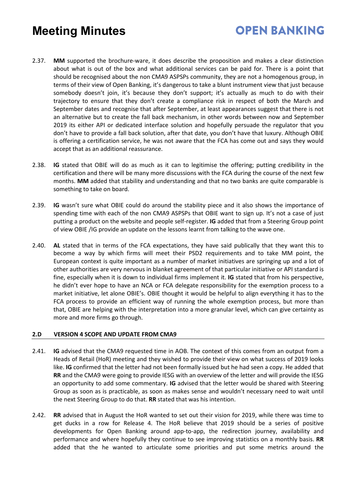### **OPEN BANKING**

- 2.37. **MM** supported the brochure-ware, it does describe the proposition and makes a clear distinction about what is out of the box and what additional services can be paid for. There is a point that should be recognised about the non CMA9 ASPSPs community, they are not a homogenous group, in terms of their view of Open Banking, it's dangerous to take a blunt instrument view that just because somebody doesn't join, it's because they don't support; it's actually as much to do with their trajectory to ensure that they don't create a compliance risk in respect of both the March and September dates and recognise that after September, at least appearances suggest that there is not an alternative but to create the fall back mechanism, in other words between now and September 2019 its either API or dedicated interface solution and hopefully persuade the regulator that you don't have to provide a fall back solution, after that date, you don't have that luxury. Although OBIE is offering a certification service, he was not aware that the FCA has come out and says they would accept that as an additional reassurance.
- 2.38. **IG** stated that OBIE will do as much as it can to legitimise the offering; putting credibility in the certification and there will be many more discussions with the FCA during the course of the next few months. **MM** added that stability and understanding and that no two banks are quite comparable is something to take on board.
- 2.39. **IG** wasn't sure what OBIE could do around the stability piece and it also shows the importance of spending time with each of the non CMA9 ASPSPs that OBIE want to sign up. It's not a case of just putting a product on the website and people self-register. **IG** added that from a Steering Group point of view OBIE /IG provide an update on the lessons learnt from talking to the wave one.
- 2.40. **AL** stated that in terms of the FCA expectations, they have said publically that they want this to become a way by which firms will meet their PSD2 requirements and to take MM point, the European context is quite important as a number of market initiatives are springing up and a lot of other authorities are very nervous in blanket agreement of that particular initiative or API standard is fine, especially when it is down to individual firms implement it. **IG** stated that from his perspective, he didn't ever hope to have an NCA or FCA delegate responsibility for the exemption process to a market initiative, let alone OBIE's. OBIE thought it would be helpful to align everything it has to the FCA process to provide an efficient way of running the whole exemption process, but more than that, OBIE are helping with the interpretation into a more granular level, which can give certainty as more and more firms go through.

#### **2.D VERSION 4 SCOPE AND UPDATE FROM CMA9**

- 2.41. **IG** advised that the CMA9 requested time in AOB. The context of this comes from an output from a Heads of Retail (HoR) meeting and they wished to provide their view on what success of 2019 looks like. **IG** confirmed that the letter had not been formally issued but he had seen a copy. He added that **RR** and the CMA9 were going to provide IESG with an overview of the letter and will provide the IESG an opportunity to add some commentary. **IG** advised that the letter would be shared with Steering Group as soon as is practicable, as soon as makes sense and wouldn't necessary need to wait until the next Steering Group to do that. **RR** stated that was his intention.
- 2.42. **RR** advised that in August the HoR wanted to set out their vision for 2019, while there was time to get ducks in a row for Release 4. The HoR believe that 2019 should be a series of positive developments for Open Banking around app-to-app, the redirection journey, availability and performance and where hopefully they continue to see improving statistics on a monthly basis. **RR** added that the he wanted to articulate some priorities and put some metrics around the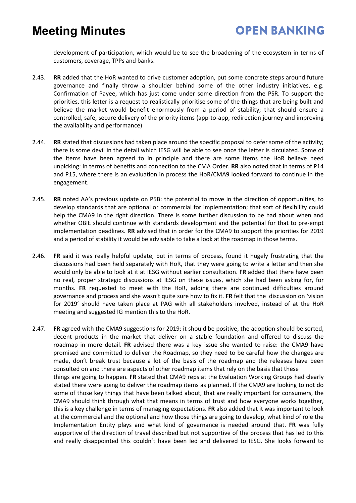development of participation, which would be to see the broadening of the ecosystem in terms of customers, coverage, TPPs and banks.

- 2.43. **RR** added that the HoR wanted to drive customer adoption, put some concrete steps around future governance and finally throw a shoulder behind some of the other industry initiatives, e.g. Confirmation of Payee, which has just come under some direction from the PSR. To support the priorities, this letter is a request to realistically prioritise some of the things that are being built and believe the market would benefit enormously from a period of stability; that should ensure a controlled, safe, secure delivery of the priority items (app-to-app, redirection journey and improving the availability and performance)
- 2.44. **RR** stated that discussions had taken place around the specific proposal to defer some of the activity; there is some devil in the detail which IESG will be able to see once the letter is circulated. Some of the items have been agreed to in principle and there are some items the HoR believe need unpicking: in terms of benefits and connection to the CMA Order. **RR** also noted that in terms of P14 and P15, where there is an evaluation in process the HoR/CMA9 looked forward to continue in the engagement.
- 2.45. **RR** noted AA's previous update on P5B: the potential to move in the direction of opportunities, to develop standards that are optional or commercial for implementation; that sort of flexibility could help the CMA9 in the right direction. There is some further discussion to be had about when and whether OBIE should continue with standards development and the potential for that to pre-empt implementation deadlines. **RR** advised that in order for the CMA9 to support the priorities for 2019 and a period of stability it would be advisable to take a look at the roadmap in those terms.
- 2.46. **FR** said it was really helpful update, but in terms of process, found it hugely frustrating that the discussions had been held separately with HoR, that they were going to write a letter and then she would only be able to look at it at IESG without earlier consultation. **FR** added that there have been no real, proper strategic discussions at IESG on these issues, which she had been asking for, for months. **FR** requested to meet with the HoR, adding there are continued difficulties around governance and process and she wasn't quite sure how to fix it. **FR** felt that the discussion on 'vision for 2019' should have taken place at PAG with all stakeholders involved, instead of at the HoR meeting and suggested IG mention this to the HoR.
- 2.47. **FR** agreed with the CMA9 suggestions for 2019; it should be positive, the adoption should be sorted, decent products in the market that deliver on a stable foundation and offered to discuss the roadmap in more detail. **FR** advised there was a key issue she wanted to raise: the CMA9 have promised and committed to deliver the Roadmap, so they need to be careful how the changes are made, don't break trust because a lot of the basis of the roadmap and the releases have been consulted on and there are aspects of other roadmap items that rely on the basis that these things are going to happen. **FR** stated that CMA9 reps at the Evaluation Working Groups had clearly stated there were going to deliver the roadmap items as planned. If the CMA9 are looking to not do some of those key things that have been talked about, that are really important for consumers, the CMA9 should think through what that means in terms of trust and how everyone works together, this is a key challenge in terms of managing expectations. **FR** also added that it was important to look at the commercial and the optional and how those things are going to develop, what kind of role the Implementation Entity plays and what kind of governance is needed around that. **FR** was fully supportive of the direction of travel described but not supportive of the process that has led to this and really disappointed this couldn't have been led and delivered to IESG. She looks forward to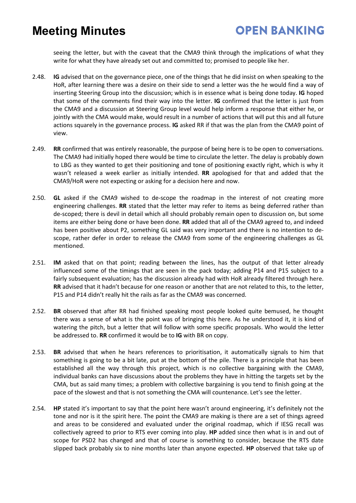seeing the letter, but with the caveat that the CMA9 think through the implications of what they write for what they have already set out and committed to; promised to people like her.

- 2.48. **IG** advised that on the governance piece, one of the things that he did insist on when speaking to the HoR, after learning there was a desire on their side to send a letter was the he would find a way of inserting Steering Group into the discussion; which is in essence what is being done today. **IG** hoped that some of the comments find their way into the letter. **IG** confirmed that the letter is just from the CMA9 and a discussion at Steering Group level would help inform a response that either he, or jointly with the CMA would make, would result in a number of actions that will put this and all future actions squarely in the governance process. **IG** asked RR if that was the plan from the CMA9 point of view.
- 2.49. **RR** confirmed that was entirely reasonable, the purpose of being here is to be open to conversations. The CMA9 had initially hoped there would be time to circulate the letter. The delay is probably down to LBG as they wanted to get their positioning and tone of positioning exactly right, which is why it wasn't released a week earlier as initially intended. **RR** apologised for that and added that the CMA9/HoR were not expecting or asking for a decision here and now.
- 2.50. **GL** asked if the CMA9 wished to de-scope the roadmap in the interest of not creating more engineering challenges. **RR** stated that the letter may refer to items as being deferred rather than de-scoped; there is devil in detail which all should probably remain open to discussion on, but some items are either being done or have been done. **RR** added that all of the CMA9 agreed to, and indeed has been positive about P2, something GL said was very important and there is no intention to descope, rather defer in order to release the CMA9 from some of the engineering challenges as GL mentioned.
- 2.51. **IM** asked that on that point; reading between the lines, has the output of that letter already influenced some of the timings that are seen in the pack today; adding P14 and P15 subject to a fairly subsequent evaluation; has the discussion already had with HoR already filtered through here. **RR** advised that it hadn't because for one reason or another that are not related to this, to the letter, P15 and P14 didn't really hit the rails as far as the CMA9 was concerned.
- 2.52. **BR** observed that after RR had finished speaking most people looked quite bemused, he thought there was a sense of what is the point was of bringing this here. As he understood it, it is kind of watering the pitch, but a letter that will follow with some specific proposals. Who would the letter be addressed to. **RR** confirmed it would be to **IG** with BR on copy.
- 2.53. **BR** advised that when he hears references to prioritisation, it automatically signals to him that something is going to be a bit late, put at the bottom of the pile. There is a principle that has been established all the way through this project, which is no collective bargaining with the CMA9, individual banks can have discussions about the problems they have in hitting the targets set by the CMA, but as said many times; a problem with collective bargaining is you tend to finish going at the pace of the slowest and that is not something the CMA will countenance. Let's see the letter.
- 2.54. **HP** stated it's important to say that the point here wasn't around engineering, it's definitely not the tone and nor is it the spirit here. The point the CMA9 are making is there are a set of things agreed and areas to be considered and evaluated under the original roadmap, which if IESG recall was collectively agreed to prior to RTS ever coming into play. **HP** added since then what is in and out of scope for PSD2 has changed and that of course is something to consider, because the RTS date slipped back probably six to nine months later than anyone expected. **HP** observed that take up of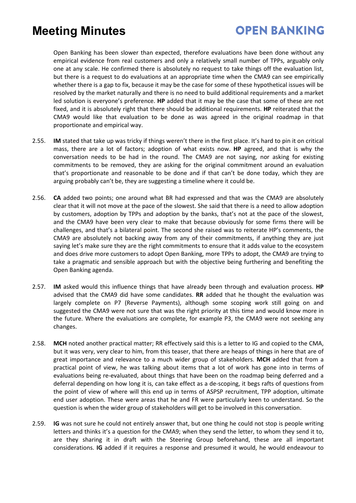### **OPEN BANKING**

Open Banking has been slower than expected, therefore evaluations have been done without any empirical evidence from real customers and only a relatively small number of TPPs, arguably only one at any scale. He confirmed there is absolutely no request to take things off the evaluation list, but there is a request to do evaluations at an appropriate time when the CMA9 can see empirically whether there is a gap to fix, because it may be the case for some of these hypothetical issues will be resolved by the market naturally and there is no need to build additional requirements and a market led solution is everyone's preference. **HP** added that it may be the case that some of these are not fixed, and it is absolutely right that there should be additional requirements. **HP** reiterated that the CMA9 would like that evaluation to be done as was agreed in the original roadmap in that proportionate and empirical way.

- 2.55. **IM** stated that take up was tricky if things weren't there in the first place. It's hard to pin it on critical mass, there are a lot of factors; adoption of what exists now. **HP** agreed, and that is why the conversation needs to be had in the round. The CMA9 are not saying, nor asking for existing commitments to be removed, they are asking for the original commitment around an evaluation that's proportionate and reasonable to be done and if that can't be done today, which they are arguing probably can't be, they are suggesting a timeline where it could be.
- 2.56. **CA** added two points; one around what BR had expressed and that was the CMA9 are absolutely clear that it will not move at the pace of the slowest. She said that there is a need to allow adoption by customers, adoption by TPPs and adoption by the banks, that's not at the pace of the slowest, and the CMA9 have been very clear to make that because obviously for some firms there will be challenges, and that's a bilateral point. The second she raised was to reiterate HP's comments, the CMA9 are absolutely not backing away from any of their commitments, if anything they are just saying let's make sure they are the right commitments to ensure that it adds value to the ecosystem and does drive more customers to adopt Open Banking, more TPPs to adopt, the CMA9 are trying to take a pragmatic and sensible approach but with the objective being furthering and benefiting the Open Banking agenda.
- 2.57. **IM** asked would this influence things that have already been through and evaluation process. **HP** advised that the CMA9 did have some candidates. **RR** added that he thought the evaluation was largely complete on P7 (Reverse Payments), although some scoping work still going on and suggested the CMA9 were not sure that was the right priority at this time and would know more in the future. Where the evaluations are complete, for example P3, the CMA9 were not seeking any changes.
- 2.58. **MCH** noted another practical matter; RR effectively said this is a letter to IG and copied to the CMA, but it was very, very clear to him, from this teaser, that there are heaps of things in here that are of great importance and relevance to a much wider group of stakeholders. **MCH** added that from a practical point of view, he was talking about items that a lot of work has gone into in terms of evaluations being re-evaluated, about things that have been on the roadmap being deferred and a deferral depending on how long it is, can take effect as a de-scoping, it begs rafts of questions from the point of view of where will this end up in terms of ASPSP recruitment, TPP adoption, ultimate end user adoption. These were areas that he and FR were particularly keen to understand. So the question is when the wider group of stakeholders will get to be involved in this conversation.
- 2.59. **IG** was not sure he could not entirely answer that, but one thing he could not stop is people writing letters and thinks it's a question for the CMA9; when they send the letter, to whom they send it to, are they sharing it in draft with the Steering Group beforehand, these are all important considerations. **IG** added if it requires a response and presumed it would, he would endeavour to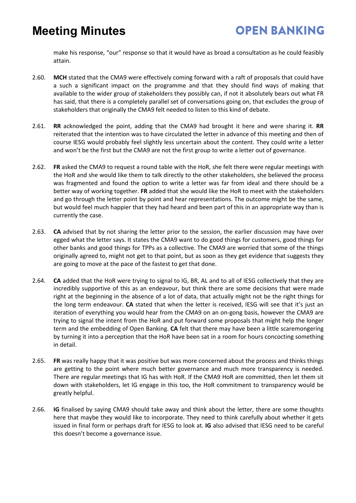make his response, "our" response so that it would have as broad a consultation as he could feasibly attain.

- 2.60. **MCH** stated that the CMA9 were effectively coming forward with a raft of proposals that could have a such a significant impact on the programme and that they should find ways of making that available to the wider group of stakeholders they possibly can, if not it absolutely bears out what FR has said, that there is a completely parallel set of conversations going on, that excludes the group of stakeholders that originally the CMA9 felt needed to listen to this kind of debate.
- 2.61. **RR** acknowledged the point, adding that the CMA9 had brought it here and were sharing it. **RR** reiterated that the intention was to have circulated the letter in advance of this meeting and then of course IESG would probably feel slightly less uncertain about the content. They could write a letter and won't be the first but the CMA9 are not the first group to write a letter out of governance.
- 2.62. **FR** asked the CMA9 to request a round table with the HoR, she felt there were regular meetings with the HoR and she would like them to talk directly to the other stakeholders, she believed the process was fragmented and found the option to write a letter was far from ideal and there should be a better way of working together. **FR** added that she would like the HoR to meet with the stakeholders and go through the letter point by point and hear representations. The outcome might be the same, but would feel much happier that they had heard and been part of this in an appropriate way than is currently the case.
- 2.63. **CA** advised that by not sharing the letter prior to the session, the earlier discussion may have over egged what the letter says. It states the CMA9 want to do good things for customers, good things for other banks and good things for TPPs as a collective. The CMA9 are worried that some of the things originally agreed to, might not get to that point, but as soon as they get evidence that suggests they are going to move at the pace of the fastest to get that done.
- 2.64. **CA** added that the HoR were trying to signal to IG, BR, AL and to all of IESG collectively that they are incredibly supportive of this as an endeavour, but think there are some decisions that were made right at the beginning in the absence of a lot of data, that actually might not be the right things for the long term endeavour. **CA** stated that when the letter is received, IESG will see that it's just an iteration of everything you would hear from the CMA9 on an on-gong basis, however the CMA9 are trying to signal the intent from the HoR and put forward some proposals that might help the longer term and the embedding of Open Banking. **CA** felt that there may have been a little scaremongering by turning it into a perception that the HoR have been sat in a room for hours concocting something in detail.
- 2.65. **FR** was really happy that it was positive but was more concerned about the process and thinks things are getting to the point where much better governance and much more transparency is needed. There are regular meetings that IG has with HoR. If the CMA9 HoR are committed, then let them sit down with stakeholders, let IG engage in this too, the HoR commitment to transparency would be greatly helpful.
- 2.66. **IG** finalised by saying CMA9 should take away and think about the letter, there are some thoughts here that maybe they would like to incorporate. They need to think carefully about whether it gets issued in final form or perhaps draft for IESG to look at. **IG** also advised that IESG need to be careful this doesn't become a governance issue.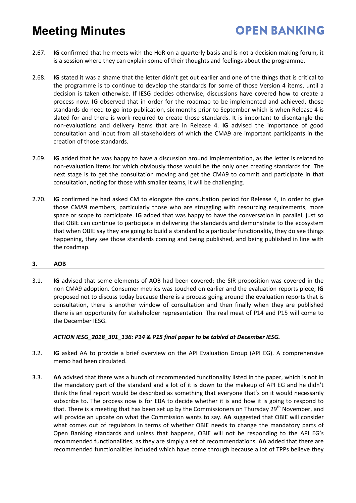### **OPEN BANKING**

- 2.67. **IG** confirmed that he meets with the HoR on a quarterly basis and is not a decision making forum, it is a session where they can explain some of their thoughts and feelings about the programme.
- 2.68. **IG** stated it was a shame that the letter didn't get out earlier and one of the things that is critical to the programme is to continue to develop the standards for some of those Version 4 items, until a decision is taken otherwise. If IESG decides otherwise, discussions have covered how to create a process now. **IG** observed that in order for the roadmap to be implemented and achieved, those standards do need to go into publication, six months prior to September which is when Release 4 is slated for and there is work required to create those standards. It is important to disentangle the non-evaluations and delivery items that are in Release 4. **IG** advised the importance of good consultation and input from all stakeholders of which the CMA9 are important participants in the creation of those standards.
- 2.69. **IG** added that he was happy to have a discussion around implementation, as the letter is related to non-evaluation items for which obviously those would be the only ones creating standards for. The next stage is to get the consultation moving and get the CMA9 to commit and participate in that consultation, noting for those with smaller teams, it will be challenging.
- 2.70. **IG** confirmed he had asked CM to elongate the consultation period for Release 4, in order to give those CMA9 members, particularly those who are struggling with resourcing requirements, more space or scope to participate. **IG** added that was happy to have the conversation in parallel, just so that OBIE can continue to participate in delivering the standards and demonstrate to the ecosystem that when OBIE say they are going to build a standard to a particular functionality, they do see things happening, they see those standards coming and being published, and being published in line with the roadmap.

#### **3. AOB**

3.1. **IG** advised that some elements of AOB had been covered; the SIR proposition was covered in the non CMA9 adoption. Consumer metrics was touched on earlier and the evaluation reports piece; **IG** proposed not to discuss today because there is a process going around the evaluation reports that is consultation, there is another window of consultation and then finally when they are published there is an opportunity for stakeholder representation. The real meat of P14 and P15 will come to the December IESG.

#### *ACTION IESG\_2018\_301\_136: P14 & P15 final paper to be tabled at December IESG.*

- 3.2. **IG** asked AA to provide a brief overview on the API Evaluation Group (API EG). A comprehensive memo had been circulated.
- 3.3. **AA** advised that there was a bunch of recommended functionality listed in the paper, which is not in the mandatory part of the standard and a lot of it is down to the makeup of API EG and he didn't think the final report would be described as something that everyone that's on it would necessarily subscribe to. The process now is for EBA to decide whether it is and how it is going to respond to that. There is a meeting that has been set up by the Commissioners on Thursday 29<sup>th</sup> November, and will provide an update on what the Commission wants to say. **AA** suggested that OBIE will consider what comes out of regulators in terms of whether OBIE needs to change the mandatory parts of Open Banking standards and unless that happens, OBIE will not be responding to the API EG's recommended functionalities, as they are simply a set of recommendations. **AA** added that there are recommended functionalities included which have come through because a lot of TPPs believe they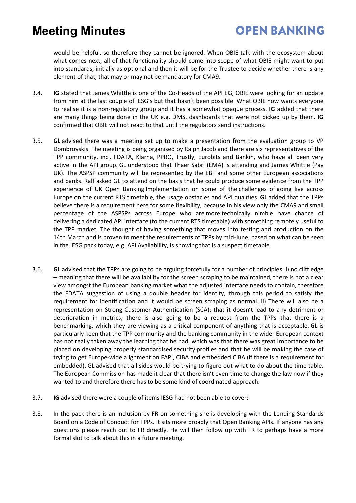#### **OPEN BANKING**

would be helpful, so therefore they cannot be ignored. When OBIE talk with the ecosystem about what comes next, all of that functionality should come into scope of what OBIE might want to put into standards, initially as optional and then it will be for the Trustee to decide whether there is any element of that, that may or may not be mandatory for CMA9.

- 3.4. **IG** stated that James Whittle is one of the Co-Heads of the API EG, OBIE were looking for an update from him at the last couple of IESG's but that hasn't been possible. What OBIE now wants everyone to realise it is a non-regulatory group and it has a somewhat opaque process. **IG** added that there are many things being done in the UK e.g. DMS, dashboards that were not picked up by them. **IG** confirmed that OBIE will not react to that until the regulators send instructions.
- 3.5. **GL** advised there was a meeting set up to make a presentation from the evaluation group to VP Dombrovskis. The meeting is being organised by Ralph Jacob and there are six representatives of the TPP community, incl. FDATA, Klarna, PPRO, Trustly, Eurobits and Bankin, who have all been very active in the API group. GL understood that Thaer Sabri (EMA) is attending and James Whittle (Pay UK). The ASPSP community will be represented by the EBF and some other European associations and banks. Ralf asked GL to attend on the basis that he could produce some evidence from the TPP experience of UK Open Banking Implementation on some of the challenges of going live across Europe on the current RTS timetable, the usage obstacles and API qualities. **GL** added that the TPPs believe there is a requirement here for some flexibility, because in his view only the CMA9 and small percentage of the ASPSPs across Europe who are more technically nimble have chance of delivering a dedicated API interface (to the current RTS timetable) with something remotely useful to the TPP market. The thought of having something that moves into testing and production on the 14th March and is proven to meet the requirements of TPPs by mid-June, based on what can be seen in the IESG pack today, e.g. API Availability, is showing that is a suspect timetable.
- 3.6. **GL** advised that the TPPs are going to be arguing forcefully for a number of principles: i) no cliff edge – meaning that there will be availability for the screen scraping to be maintained, there is not a clear view amongst the European banking market what the adjusted interface needs to contain, therefore the FDATA suggestion of using a double header for identity, through this period to satisfy the requirement for identification and it would be screen scraping as normal. ii) There will also be a representation on Strong Customer Authentication (SCA): that it doesn't lead to any detriment or deterioration in metrics, there is also going to be a request from the TPPs that there is a benchmarking, which they are viewing as a critical component of anything that is acceptable. **GL** is particularly keen that the TPP community and the banking community in the wider European context has not really taken away the learning that he had, which was that there was great importance to be placed on developing properly standardised security profiles and that he will be making the case of trying to get Europe-wide alignment on FAPI, CIBA and embedded CIBA (if there is a requirement for embedded). GL advised that all sides would be trying to figure out what to do about the time table. The European Commission has made it clear that there isn't even time to change the law now if they wanted to and therefore there has to be some kind of coordinated approach.
- 3.7. **IG** advised there were a couple of items IESG had not been able to cover:
- 3.8. In the pack there is an inclusion by FR on something she is developing with the Lending Standards Board on a Code of Conduct for TPPs. It sits more broadly that Open Banking APIs. If anyone has any questions please reach out to FR directly. He will then follow up with FR to perhaps have a more formal slot to talk about this in a future meeting.